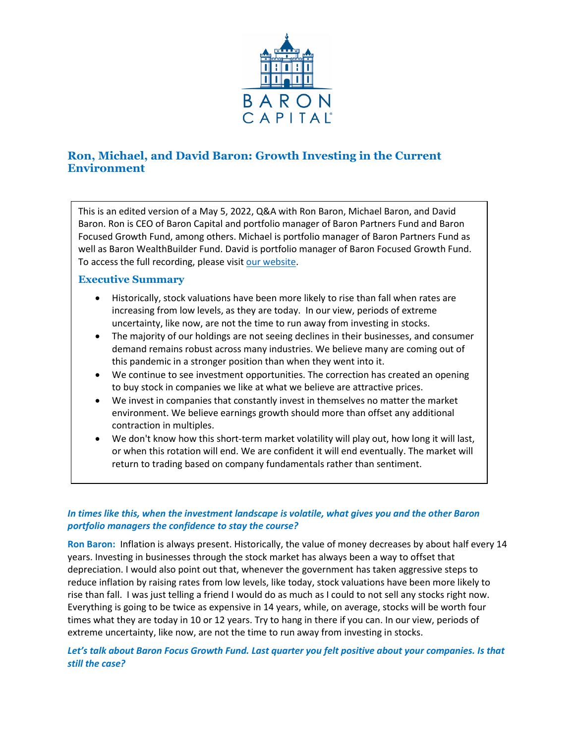

# **Ron, Michael, and David Baron: Growth Investing in the Current Environment**

This is an edited version of a May 5, 2022, Q&A with Ron Baron, Michael Baron, and David Baron. Ron is CEO of Baron Capital and portfolio manager of Baron Partners Fund and Baron Focused Growth Fund, among others. Michael is portfolio manager of Baron Partners Fund as well as Baron WealthBuilder Fund. David is portfolio manager of Baron Focused Growth Fund. To access the full recording, please visit [our website.](https://www.baronfunds.com/insights/conference-calls)

# **Executive Summary**

- Historically, stock valuations have been more likely to rise than fall when rates are increasing from low levels, as they are today. In our view, periods of extreme uncertainty, like now, are not the time to run away from investing in stocks.
- The majority of our holdings are not seeing declines in their businesses, and consumer demand remains robust across many industries. We believe many are coming out of this pandemic in a stronger position than when they went into it.
- We continue to see investment opportunities. The correction has created an opening to buy stock in companies we like at what we believe are attractive prices.
- We invest in companies that constantly invest in themselves no matter the market environment. We believe earnings growth should more than offset any additional contraction in multiples.
- We don't know how this short-term market volatility will play out, how long it will last, or when this rotation will end. We are confident it will end eventually. The market will return to trading based on company fundamentals rather than sentiment.

# *In times like this, when the investment landscape is volatile, what gives you and the other Baron portfolio managers the confidence to stay the course?*

**Ron Baron:** Inflation is always present. Historically, the value of money decreases by about half every 14 years. Investing in businesses through the stock market has always been a way to offset that depreciation. I would also point out that, whenever the government has taken aggressive steps to reduce inflation by raising rates from low levels, like today, stock valuations have been more likely to rise than fall. I was just telling a friend I would do as much as I could to not sell any stocks right now. Everything is going to be twice as expensive in 14 years, while, on average, stocks will be worth four times what they are today in 10 or 12 years. Try to hang in there if you can. In our view, periods of extreme uncertainty, like now, are not the time to run away from investing in stocks.

# *Let's talk about Baron Focus Growth Fund. Last quarter you felt positive about your companies. Is that still the case?*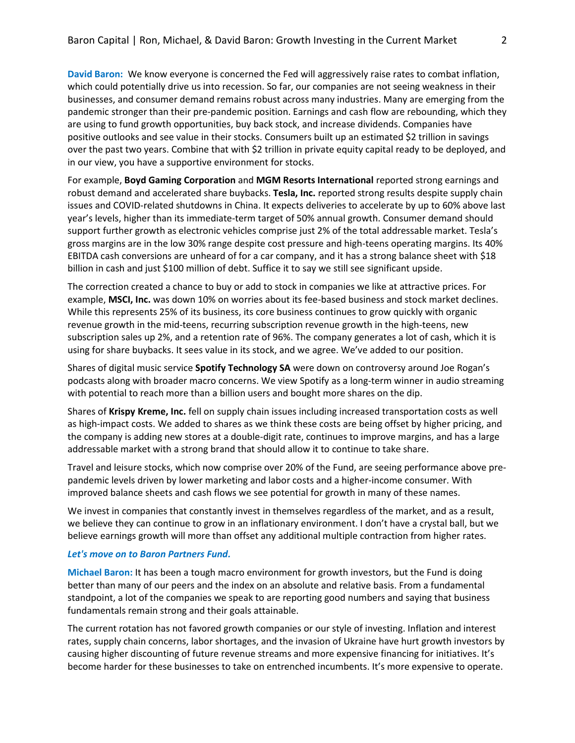**David Baron:** We know everyone is concerned the Fed will aggressively raise rates to combat inflation, which could potentially drive us into recession. So far, our companies are not seeing weakness in their businesses, and consumer demand remains robust across many industries. Many are emerging from the pandemic stronger than their pre-pandemic position. Earnings and cash flow are rebounding, which they are using to fund growth opportunities, buy back stock, and increase dividends. Companies have positive outlooks and see value in their stocks. Consumers built up an estimated \$2 trillion in savings over the past two years. Combine that with \$2 trillion in private equity capital ready to be deployed, and in our view, you have a supportive environment for stocks.

For example, **Boyd Gaming Corporation** and **MGM Resorts International** reported strong earnings and robust demand and accelerated share buybacks. **Tesla, Inc.** reported strong results despite supply chain issues and COVID-related shutdowns in China. It expects deliveries to accelerate by up to 60% above last year's levels, higher than its immediate-term target of 50% annual growth. Consumer demand should support further growth as electronic vehicles comprise just 2% of the total addressable market. Tesla's gross margins are in the low 30% range despite cost pressure and high-teens operating margins. Its 40% EBITDA cash conversions are unheard of for a car company, and it has a strong balance sheet with \$18 billion in cash and just \$100 million of debt. Suffice it to say we still see significant upside.

The correction created a chance to buy or add to stock in companies we like at attractive prices. For example, **MSCI, Inc.** was down 10% on worries about its fee-based business and stock market declines. While this represents 25% of its business, its core business continues to grow quickly with organic revenue growth in the mid-teens, recurring subscription revenue growth in the high-teens, new subscription sales up 2%, and a retention rate of 96%. The company generates a lot of cash, which it is using for share buybacks. It sees value in its stock, and we agree. We've added to our position.

Shares of digital music service **Spotify Technology SA** were down on controversy around Joe Rogan's podcasts along with broader macro concerns. We view Spotify as a long-term winner in audio streaming with potential to reach more than a billion users and bought more shares on the dip.

Shares of **Krispy Kreme, Inc.** fell on supply chain issues including increased transportation costs as well as high-impact costs. We added to shares as we think these costs are being offset by higher pricing, and the company is adding new stores at a double-digit rate, continues to improve margins, and has a large addressable market with a strong brand that should allow it to continue to take share.

Travel and leisure stocks, which now comprise over 20% of the Fund, are seeing performance above prepandemic levels driven by lower marketing and labor costs and a higher-income consumer. With improved balance sheets and cash flows we see potential for growth in many of these names.

We invest in companies that constantly invest in themselves regardless of the market, and as a result, we believe they can continue to grow in an inflationary environment. I don't have a crystal ball, but we believe earnings growth will more than offset any additional multiple contraction from higher rates.

#### *Let's move on to Baron Partners Fund.*

**Michael Baron:** It has been a tough macro environment for growth investors, but the Fund is doing better than many of our peers and the index on an absolute and relative basis. From a fundamental standpoint, a lot of the companies we speak to are reporting good numbers and saying that business fundamentals remain strong and their goals attainable.

The current rotation has not favored growth companies or our style of investing. Inflation and interest rates, supply chain concerns, labor shortages, and the invasion of Ukraine have hurt growth investors by causing higher discounting of future revenue streams and more expensive financing for initiatives. It's become harder for these businesses to take on entrenched incumbents. It's more expensive to operate.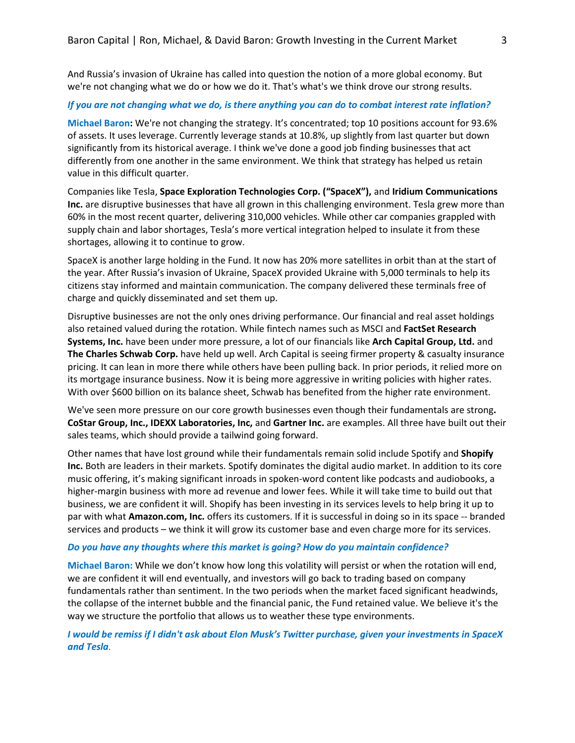And Russia's invasion of Ukraine has called into question the notion of a more global economy. But we're not changing what we do or how we do it. That's what's we think drove our strong results.

### *If you are not changing what we do, is there anything you can do to combat interest rate inflation?*

**Michael Baron:** We're not changing the strategy. It's concentrated; top 10 positions account for 93.6% of assets. It uses leverage. Currently leverage stands at 10.8%, up slightly from last quarter but down significantly from its historical average. I think we've done a good job finding businesses that act differently from one another in the same environment. We think that strategy has helped us retain value in this difficult quarter.

Companies like Tesla, **Space Exploration Technologies Corp. ("SpaceX"),** and **Iridium Communications Inc.** are disruptive businesses that have all grown in this challenging environment. Tesla grew more than 60% in the most recent quarter, delivering 310,000 vehicles. While other car companies grappled with supply chain and labor shortages, Tesla's more vertical integration helped to insulate it from these shortages, allowing it to continue to grow.

SpaceX is another large holding in the Fund. It now has 20% more satellites in orbit than at the start of the year. After Russia's invasion of Ukraine, SpaceX provided Ukraine with 5,000 terminals to help its citizens stay informed and maintain communication. The company delivered these terminals free of charge and quickly disseminated and set them up.

Disruptive businesses are not the only ones driving performance. Our financial and real asset holdings also retained valued during the rotation. While fintech names such as MSCI and **FactSet Research Systems, Inc.** have been under more pressure, a lot of our financials like **Arch Capital Group, Ltd.** and **The Charles Schwab Corp.** have held up well. Arch Capital is seeing firmer property & casualty insurance pricing. It can lean in more there while others have been pulling back. In prior periods, it relied more on its mortgage insurance business. Now it is being more aggressive in writing policies with higher rates. With over \$600 billion on its balance sheet, Schwab has benefited from the higher rate environment.

We've seen more pressure on our core growth businesses even though their fundamentals are strong**. CoStar Group, Inc., IDEXX Laboratories, Inc,** and **Gartner Inc.** are examples. All three have built out their sales teams, which should provide a tailwind going forward.

Other names that have lost ground while their fundamentals remain solid include Spotify and **Shopify Inc.** Both are leaders in their markets. Spotify dominates the digital audio market. In addition to its core music offering, it's making significant inroads in spoken-word content like podcasts and audiobooks, a higher-margin business with more ad revenue and lower fees. While it will take time to build out that business, we are confident it will. Shopify has been investing in its services levels to help bring it up to par with what **Amazon.com, Inc.** offers its customers. If it is successful in doing so in its space -- branded services and products – we think it will grow its customer base and even charge more for its services.

#### *Do you have any thoughts where this market is going? How do you maintain confidence?*

**Michael Baron:** While we don't know how long this volatility will persist or when the rotation will end, we are confident it will end eventually, and investors will go back to trading based on company fundamentals rather than sentiment. In the two periods when the market faced significant headwinds, the collapse of the internet bubble and the financial panic, the Fund retained value. We believe it's the way we structure the portfolio that allows us to weather these type environments.

*I would be remiss if I didn't ask about Elon Musk's Twitter purchase, given your investments in SpaceX and Tesla.*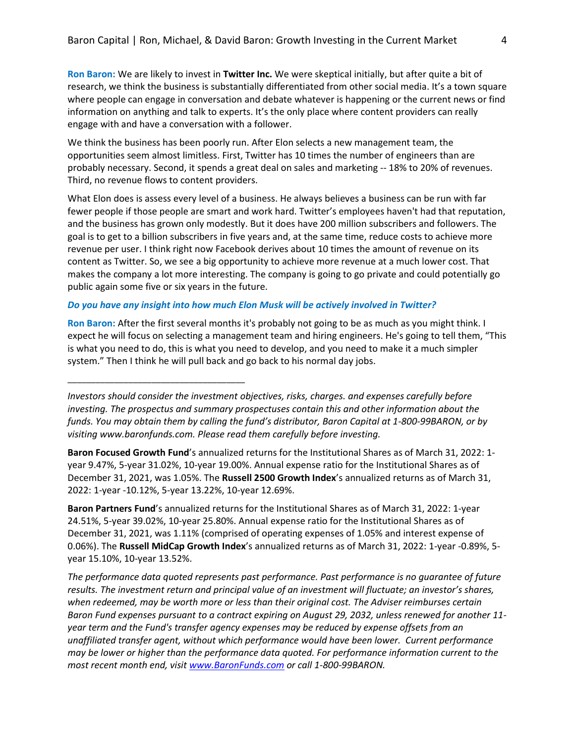**Ron Baron:** We are likely to invest in **Twitter Inc.** We were skeptical initially, but after quite a bit of research, we think the business is substantially differentiated from other social media. It's a town square where people can engage in conversation and debate whatever is happening or the current news or find information on anything and talk to experts. It's the only place where content providers can really engage with and have a conversation with a follower.

We think the business has been poorly run. After Elon selects a new management team, the opportunities seem almost limitless. First, Twitter has 10 times the number of engineers than are probably necessary. Second, it spends a great deal on sales and marketing -- 18% to 20% of revenues. Third, no revenue flows to content providers.

What Elon does is assess every level of a business. He always believes a business can be run with far fewer people if those people are smart and work hard. Twitter's employees haven't had that reputation, and the business has grown only modestly. But it does have 200 million subscribers and followers. The goal is to get to a billion subscribers in five years and, at the same time, reduce costs to achieve more revenue per user. I think right now Facebook derives about 10 times the amount of revenue on its content as Twitter. So, we see a big opportunity to achieve more revenue at a much lower cost. That makes the company a lot more interesting. The company is going to go private and could potentially go public again some five or six years in the future.

### *Do you have any insight into how much Elon Musk will be actively involved in Twitter?*

\_\_\_\_\_\_\_\_\_\_\_\_\_\_\_\_\_\_\_\_\_\_\_\_\_\_\_\_\_\_\_\_\_\_\_\_\_\_

**Ron Baron:** After the first several months it's probably not going to be as much as you might think. I expect he will focus on selecting a management team and hiring engineers. He's going to tell them, "This is what you need to do, this is what you need to develop, and you need to make it a much simpler system." Then I think he will pull back and go back to his normal day jobs.

*Investors should consider the investment objectives, risks, charges. and expenses carefully before investing. The prospectus and summary prospectuses contain this and other information about the funds. You may obtain them by calling the fund's distributor, Baron Capital at 1-800-99BARON, or by visiting www.baronfunds.com. Please read them carefully before investing.*

**Baron Focused Growth Fund**'s annualized returns for the Institutional Shares as of March 31, 2022: 1 year 9.47%, 5-year 31.02%, 10-year 19.00%. Annual expense ratio for the Institutional Shares as of December 31, 2021, was 1.05%. The **Russell 2500 Growth Index**'s annualized returns as of March 31, 2022: 1-year -10.12%, 5-year 13.22%, 10-year 12.69%.

**Baron Partners Fund**'s annualized returns for the Institutional Shares as of March 31, 2022: 1-year 24.51%, 5-year 39.02%, 10-year 25.80%. Annual expense ratio for the Institutional Shares as of December 31, 2021, was 1.11% (comprised of operating expenses of 1.05% and interest expense of 0.06%). The **Russell MidCap Growth Index**'s annualized returns as of March 31, 2022: 1-year -0.89%, 5 year 15.10%, 10-year 13.52%.

*The performance data quoted represents past performance. Past performance is no guarantee of future results. The investment return and principal value of an investment will fluctuate; an investor's shares, when redeemed, may be worth more or less than their original cost. The Adviser reimburses certain Baron Fund expenses pursuant to a contract expiring on August 29, 2032, unless renewed for another 11 year term and the Fund's transfer agency expenses may be reduced by expense offsets from an unaffiliated transfer agent, without which performance would have been lower. Current performance may be lower or higher than the performance data quoted. For performance information current to the most recent month end, visi[t www.BaronFunds.com](http://www.baronfunds.com/) or call 1-800-99BARON.*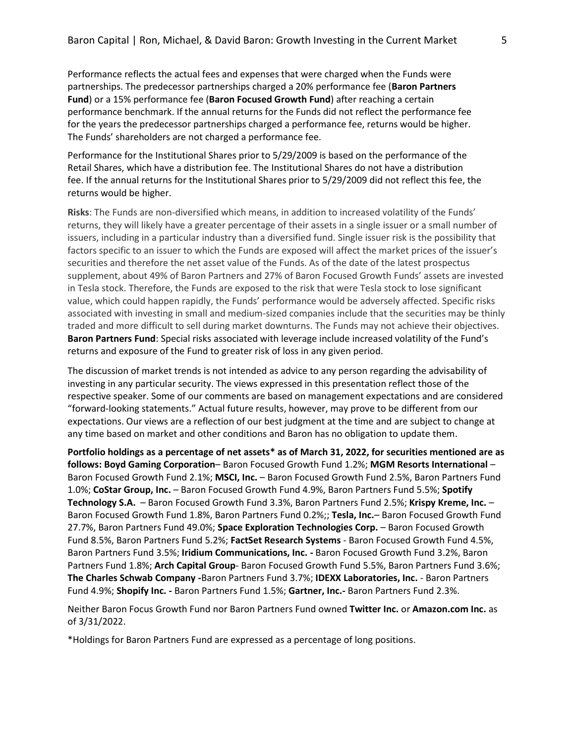Performance reflects the actual fees and expenses that were charged when the Funds were partnerships. The predecessor partnerships charged a 20% performance fee (**Baron Partners Fund**) or a 15% performance fee (**Baron Focused Growth Fund**) after reaching a certain performance benchmark. If the annual returns for the Funds did not reflect the performance fee for the years the predecessor partnerships charged a performance fee, returns would be higher. The Funds' shareholders are not charged a performance fee.

Performance for the Institutional Shares prior to 5/29/2009 is based on the performance of the Retail Shares, which have a distribution fee. The Institutional Shares do not have a distribution fee. If the annual returns for the Institutional Shares prior to 5/29/2009 did not reflect this fee, the returns would be higher.

**Risks**: The Funds are non-diversified which means, in addition to increased volatility of the Funds' returns, they will likely have a greater percentage of their assets in a single issuer or a small number of issuers, including in a particular industry than a diversified fund. Single issuer risk is the possibility that factors specific to an issuer to which the Funds are exposed will affect the market prices of the issuer's securities and therefore the net asset value of the Funds. As of the date of the latest prospectus supplement, about 49% of Baron Partners and 27% of Baron Focused Growth Funds' assets are invested in Tesla stock. Therefore, the Funds are exposed to the risk that were Tesla stock to lose significant value, which could happen rapidly, the Funds' performance would be adversely affected. Specific risks associated with investing in small and medium-sized companies include that the securities may be thinly traded and more difficult to sell during market downturns. The Funds may not achieve their objectives. **Baron Partners Fund**: Special risks associated with leverage include increased volatility of the Fund's returns and exposure of the Fund to greater risk of loss in any given period.

The discussion of market trends is not intended as advice to any person regarding the advisability of investing in any particular security. The views expressed in this presentation reflect those of the respective speaker. Some of our comments are based on management expectations and are considered "forward-looking statements." Actual future results, however, may prove to be different from our expectations. Our views are a reflection of our best judgment at the time and are subject to change at any time based on market and other conditions and Baron has no obligation to update them.

**Portfolio holdings as a percentage of net assets\* as of March 31, 2022, for securities mentioned are as follows: Boyd Gaming Corporation**– Baron Focused Growth Fund 1.2%; **MGM Resorts International** – Baron Focused Growth Fund 2.1%; **MSCI, Inc.** – Baron Focused Growth Fund 2.5%, Baron Partners Fund 1.0%; **CoStar Group, Inc.** – Baron Focused Growth Fund 4.9%, Baron Partners Fund 5.5%; **Spotify Technology S.A.** – Baron Focused Growth Fund 3.3%, Baron Partners Fund 2.5%; **Krispy Kreme, Inc.** – Baron Focused Growth Fund 1.8%, Baron Partners Fund 0.2%;; **Tesla, Inc.**– Baron Focused Growth Fund 27.7%, Baron Partners Fund 49.0%; **Space Exploration Technologies Corp.** – Baron Focused Growth Fund 8.5%, Baron Partners Fund 5.2%; **FactSet Research Systems** - Baron Focused Growth Fund 4.5%, Baron Partners Fund 3.5%; **Iridium Communications, Inc. -** Baron Focused Growth Fund 3.2%, Baron Partners Fund 1.8%; **Arch Capital Group**- Baron Focused Growth Fund 5.5%, Baron Partners Fund 3.6%; **The Charles Schwab Company -**Baron Partners Fund 3.7%; **IDEXX Laboratories, Inc.** - Baron Partners Fund 4.9%; **Shopify Inc. -** Baron Partners Fund 1.5%; **Gartner, Inc.-** Baron Partners Fund 2.3%.

Neither Baron Focus Growth Fund nor Baron Partners Fund owned **Twitter Inc.** or **Amazon.com Inc.** as of 3/31/2022.

\*Holdings for Baron Partners Fund are expressed as a percentage of long positions.